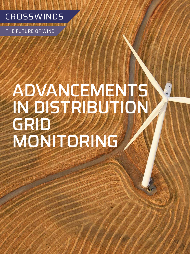

THE FUTURE OF WIND

**36** MAY 2020

# ADVANCEMENTS IN DISTRIBUTION GRID MONITORING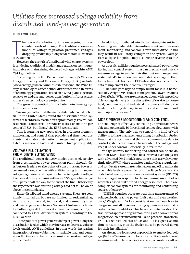# *Utilities face increased voltage volatility from distributed wind-power generation.*

#### **By DEL WILLIAMS**

The power<br>
edented<br>
model<br>
droppin<br>
to customers. he power distribution grid is undergoing unprecedented levels of change. The traditional one-way model of voltage regulation presumed voltages dropping predictably along feeders from substation

However, the growth of distributed wind-energy systems is rendering traditional models and regulation techniques incapable of maintaining delivered voltages within ANSI C84.1 guidelines.

According to the U.S. Department of Energy's Office of Energy Efficiency and Renewable Energy (EERE) website, ([www.energy.gov/eere/wind/distributed-wind\) th](http://www.energy.gov/eere/wind/distributed-wind)e Wind Energy Technologies Office defines distributed wind in terms of technology application, based on a wind plant's location relative to end-use and power distribution infrastructure, rather than technology or project size.

The growth potential of distributed wind-energy systems is enormous.

"An analysis of behind-the-meter distributed wind potential in the United States found that distributed wind systems are technically feasible for approximately 49.5 million residential, commercial, or industrial sites, or about 44 percent of all U.S. buildings," the EERE website said.

This is spurring new approaches in grid measurement, monitoring, and control that provide real time measurements that enable distribution management applications to better manage voltages and maintain high power quality.

### VOLTAGE FLUCTUATION FROM DISTRIBUTED WIND

The traditional power delivery model pushes electricity from a centralized power generation plant through distribution feeders to the point of consumption. Power is consumed along the line with utilities using tap changers, voltage regulators, and capacitor banks to regulate voltage to ensure delivery remains within an ANSI guideline range of ±5 percent all the way to the end of the line. Historically, the key concern was ensuring voltages did not fall below or above these standards.

Enter distributed wind-energy systems. These are commonly installed on, but are not limited to, residential, agricultural, commercial, industrial, and community sites, and can range in size from a 5-kilowatt turbine at a home to multi-megawatt turbines at a manufacturing facility or connected to a local distribution system, according to the EERE website.

These points of power generation inject power along the distribution feeder, which may increase or decrease voltage levels outside ANSI guidelines. In other words, increasing integration of renewables means variable load and generation fluctuations that work against the constant voltage profile model.

In addition, distributed wind is, by nature, intermittent. Managing unpredictable intermittency without measurement, monitoring, and control is even more difficult and may result in oscillatory voltages in the system. Voltage rises at injection points may also create reverse systemic power flow.

As a result, utilities require more advanced power monitoring and control systems that can precisely and quickly measure voltage to enable their distribution management systems (DMS) to respond and regulate the voltage on their feeder lines. But this means DER integration needs real-time data to implement their control strategies.

 "The issue goes beyond simply burnt toast in a home," said Ray Wright, VP Product Management, Power Products at NovaTech. "What we are concerned about with unpredictable voltage delivery is the disruption of service to household, commercial, and industrial customers all along the feeder, including damage to motors and equipment and interruption of service."

## MORE PRECISE MONITORING AND CONTROL

The challenge of effectively controlling unpredictable, variable and potentially bi-directional voltage flow starts with measurement. The only way to control this kind of variability is to have measurements along distribution feeder lines that are accurate and that can communicate data to control systems fast enough to modulate the voltage and keep it under control — essentially in real-time.

Voltage delivery monitoring and control can be the domain of DMS. These systems have evolved over the years with advanced DMS models now in use that use volt/var optimization (VVO) where capacitor banks, voltage regulators, and solid-state systems are switched on and off to maintain acceptable levels of power factor and voltage. More recently, distributed energy resource management systems (DERMS) have emerged in response to the increasing amount of renewables-based distributed energy resources. These are complex control systems for monitoring and controlling sources of energy.

 "DERMS requires accurate, real-time measurement of voltages, loads, reactive power, fault data, and even weather data," Wright said. "A key consideration has been how to design and install these monitoring systems in a way that is cost-effective for utilities. This has called into question the traditional approach of grid monitoring with conventional magnetic current transformer (CT) and potential transformer (PT). The installed cost of CTs and PTs is expensive and time-consuming, plus the feeder must be powered down for their installation."

An alternative lower-cost approach is to employ low voltage (0-10V AC) sensor technology for all voltage and current measurements. These sensors are safe, accurate for all re-